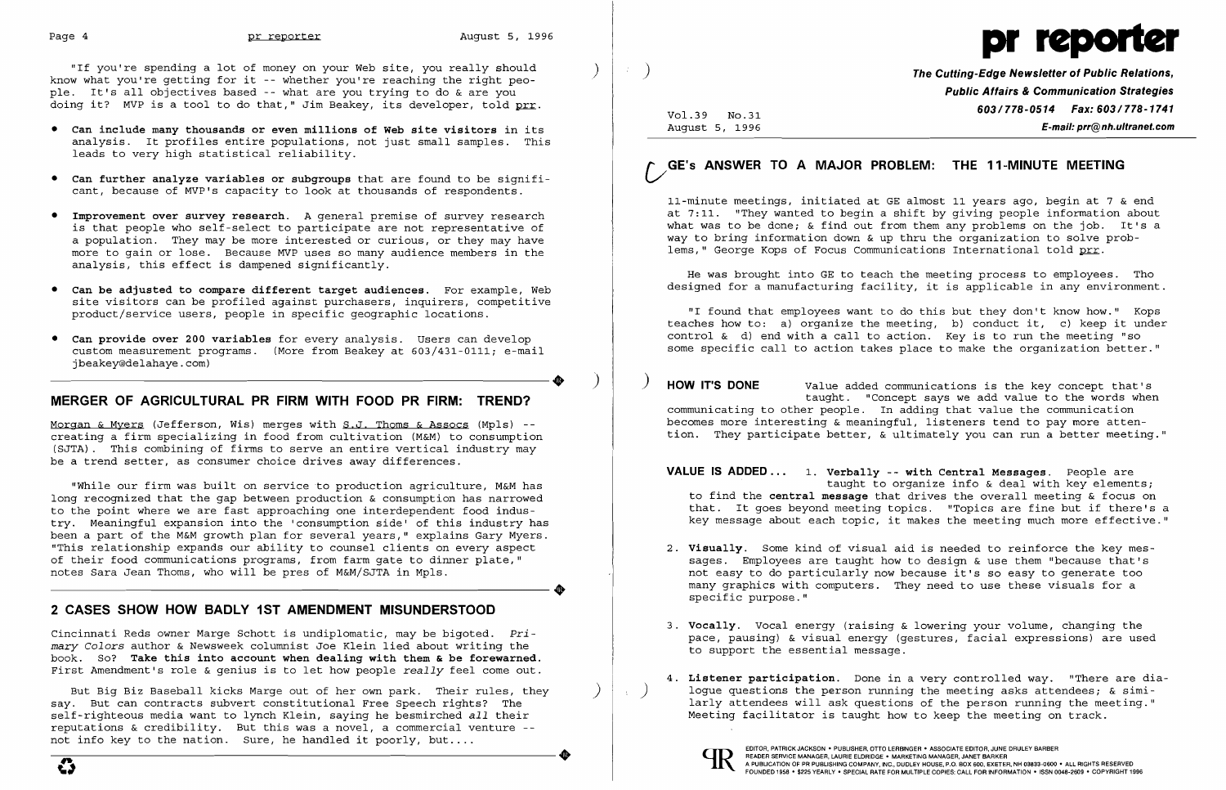"If you're spending a lot of money on your Web site, you really should know what you're getting for it -- whether you're reaching the right people. It's all objectives based -- what are you trying to do & are you doing it? MVP is a tool to do that," Jim Beakey, its developer, told prr.

- **• Can include many thousands or even millions of Web site visitors** in its analysis. It profiles entire populations, not just small samples. This leads to very high statistical reliability.
- **• Can further analyze variables or subgroups** that are found to be significant, because of MVP's capacity to look at thousands of respondents.
- • **Improvement over survey research.** A general premise of survey research is that people who self-select to participate are not representative of a population. They may be more interested or curious, or they may have more to gain or lose. Because MVP uses so many audience members in the analysis, this effect is dampened significantly.
- • **Can be adjusted to compare different target audiences.** For example, Web site visitors can be profiled against purchasers, inquirers, competitive product/service users, people in specific geographic locations.
- • **Can provide over 200 variables** for every analysis. Users can develop custom measurement programs. (More from Beakey at 603/431-0111; e-mail jbeakey@delahaye.com) jbeakey@delahaye.com)

Morgan & Myers (Jefferson, Wis) merges with S.J. Thoms & Assocs (Mpls) -creating a firm specializing in food from cultivation (M&M) to consumption (SJTA). This combining of firms to serve an entire vertical industry may be a trend setter, as consumer choice drives away differences.

### **MERGER OF AGRICULTURAL PR FIRM WITH FOOD PR FIRM: TREND?**

**The Cutting-Edge Newsletter of Public Relations. Public Affairs & Communication Strategies 603/778-0514 Fax: 603/778-1741** Vo1.39 No.31 August 5, 1996 **E-mail: prr@nh.ultranet.com** 

11-minute meetings, initiated at GE almost 11 years ago, begin at 7 & end at 7:11. "They wanted to begin a shift by giving people information about what was to be done; & find out from them any problems on the job. It's a way to bring information down & up thru the organization to solve problems," George Kops of Focus Communications International told prr.

"While our firm was built on service to production agriculture, M&M has long recognized that the gap between production & consumption has narrowed to the point where we are fast approaching one interdependent food industry. Meaningful expansion into the 'consumption side' of this industry has been a part of the M&M growth plan for several years," explains Gary Myers. "This relationship expands our ability to counsel clients on every aspect of their food communications programs, from farm gate to dinner plate," ----------------------+ notes Sara Jean Thoms, who will be pres of M&M/SJTA in Mpls.

## **2 CASES SHOW HOW BADLY 1ST AMENDMENT MISUNDERSTOOD**

**VALUE IS ADDED...** 1. Verbally -- with Central Messages. People are taught to organize info & deal with key elements; to find the **central message** that drives the overall meeting & focus on that. It goes beyond meeting topics. "Topics are fine but if there's a key message about each topic, it makes the meeting much more effective."

Cincinnati Reds owner Marge Schott is undiplomatic, may be bigoted. *Primary Colors* author & Newsweek columnist Joe Klein lied about writing the book. So? **Take this into account when dealing with them & be forewarned.**  First Amendment's role & genius is to let how people *really* feel come out.

But Big Biz Baseball kicks Marge out of her own park. Their rules, they say. But can contracts subvert constitutional Free Speech rights? The self-righteous media want to lynch Klein, saying he besmirched *all* their reputations & credibility. But this was a novel, a commercial venture not info key to the nation. Sure, he handled it poorly, but....

- 2. Visually. Some kind of visual aid is needed to reinforce the key messpecific purpose."
- 3. **Vocally.** Vocal energy (raising & lowering your volume, changing the to support the essential message.
- Meeting facilitator is taught how to keep the meeting on track.





# **vGE'S ANSWER TO A MAJOR PROBLEM: THE 11-MINUTE MEETING**

He was brought into GE to teach the meeting process to employees. Tho designed for a manufacturing facility, it is applicable in any environment.

"I found that employees want to do this but they don't know how." Kops teaches how to: a) organize the meeting, b) conduct it, c) keep it under control & d) end with a call to action. Key is to run the meeting "so some specific call to action takes place to make the organization better."

) **HOVV IT'S DONE** Value added communications is the key concept that's taught. "Concept says we add value to the words when communicating to other people. In adding that value the communication becomes more interesting & meaningful, listeners tend to pay more attention. They participate better, & ultimately you can run a better meeting."

sages. Employees are taught how to design & use them "because that's not easy to do particularly now because it's so easy to generate too many graphics with computers. They need to use these visuals for a

pace, pausing) & visual energy (gestures, facial expressions) are used

4. **Listener participation.** Done in a very controlled way. "There are dia logue questions the person running the meeting asks attendees;  $\&$  similarly attendees will ask questions of the person running the meeting."